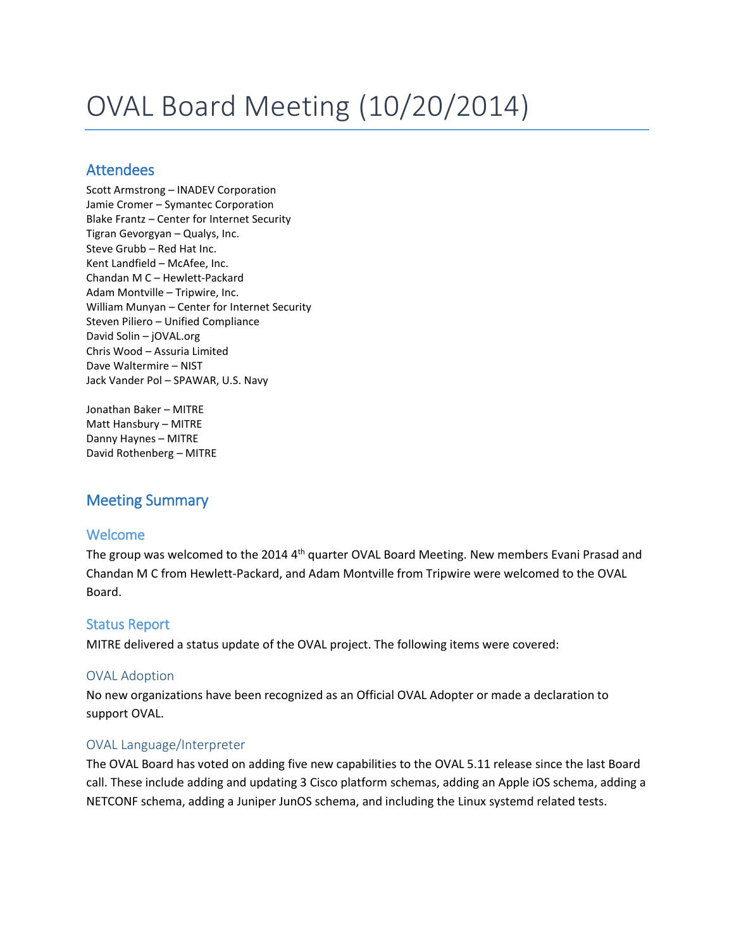# OVAL Board Meeting (10/20/2014)

# Attendees

Scott Armstrong – INADEV Corporation Jamie Cromer – Symantec Corporation Blake Frantz – Center for Internet Security Tigran Gevorgyan – Qualys, Inc. Steve Grubb – Red Hat Inc. Kent Landfield – McAfee, Inc. Chandan M C – Hewlett-Packard Adam Montville – Tripwire, Inc. William Munyan – Center for Internet Security Steven Piliero – Unified Compliance David Solin – jOVAL.org Chris Wood – Assuria Limited Dave Waltermire – NIST Jack Vander Pol – SPAWAR, U.S. Navy

Jonathan Baker – MITRE Matt Hansbury – MITRE Danny Haynes – MITRE David Rothenberg – MITRE

# Meeting Summary

# Welcome

The group was welcomed to the 2014 4<sup>th</sup> quarter OVAL Board Meeting. New members Evani Prasad and Chandan M C from Hewlett-Packard, and Adam Montville from Tripwire were welcomed to the OVAL Board.

# Status Report

MITRE delivered a status update of the OVAL project. The following items were covered:

#### OVAL Adoption

No new organizations have been recognized as an Official OVAL Adopter or made a declaration to support OVAL.

#### OVAL Language/Interpreter

The OVAL Board has voted on adding five new capabilities to the OVAL 5.11 release since the last Board call. These include adding and updating 3 Cisco platform schemas, adding an Apple iOS schema, adding a NETCONF schema, adding a Juniper JunOS schema, and including the Linux systemd related tests.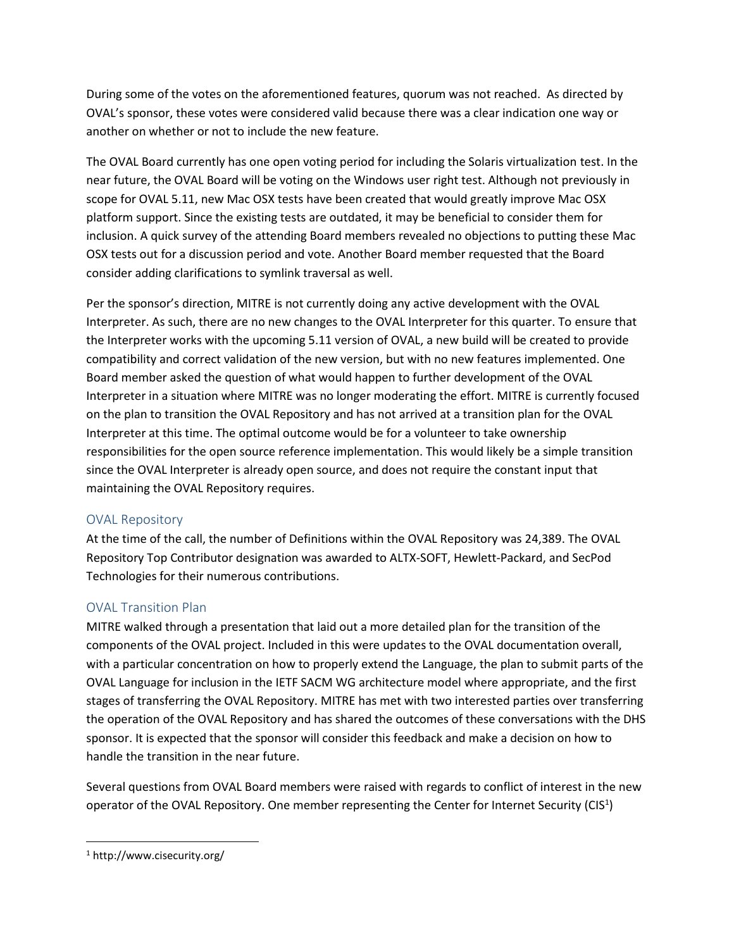During some of the votes on the aforementioned features, quorum was not reached. As directed by OVAL's sponsor, these votes were considered valid because there was a clear indication one way or another on whether or not to include the new feature.

The OVAL Board currently has one open voting period for including the Solaris virtualization test. In the near future, the OVAL Board will be voting on the Windows user right test. Although not previously in scope for OVAL 5.11, new Mac OSX tests have been created that would greatly improve Mac OSX platform support. Since the existing tests are outdated, it may be beneficial to consider them for inclusion. A quick survey of the attending Board members revealed no objections to putting these Mac OSX tests out for a discussion period and vote. Another Board member requested that the Board consider adding clarifications to symlink traversal as well.

Per the sponsor's direction, MITRE is not currently doing any active development with the OVAL Interpreter. As such, there are no new changes to the OVAL Interpreter for this quarter. To ensure that the Interpreter works with the upcoming 5.11 version of OVAL, a new build will be created to provide compatibility and correct validation of the new version, but with no new features implemented. One Board member asked the question of what would happen to further development of the OVAL Interpreter in a situation where MITRE was no longer moderating the effort. MITRE is currently focused on the plan to transition the OVAL Repository and has not arrived at a transition plan for the OVAL Interpreter at this time. The optimal outcome would be for a volunteer to take ownership responsibilities for the open source reference implementation. This would likely be a simple transition since the OVAL Interpreter is already open source, and does not require the constant input that maintaining the OVAL Repository requires.

#### OVAL Repository

At the time of the call, the number of Definitions within the OVAL Repository was 24,389. The OVAL Repository Top Contributor designation was awarded to ALTX-SOFT, Hewlett-Packard, and SecPod Technologies for their numerous contributions.

# OVAL Transition Plan

MITRE walked through a presentation that laid out a more detailed plan for the transition of the components of the OVAL project. Included in this were updates to the OVAL documentation overall, with a particular concentration on how to properly extend the Language, the plan to submit parts of the OVAL Language for inclusion in the IETF SACM WG architecture model where appropriate, and the first stages of transferring the OVAL Repository. MITRE has met with two interested parties over transferring the operation of the OVAL Repository and has shared the outcomes of these conversations with the DHS sponsor. It is expected that the sponsor will consider this feedback and make a decision on how to handle the transition in the near future.

Several questions from OVAL Board members were raised with regards to conflict of interest in the new operator of the OVAL Repository. One member representing the Center for Internet Security (CIS<sup>1</sup>)

 $\overline{\phantom{a}}$ 

<sup>1</sup> http://www.cisecurity.org/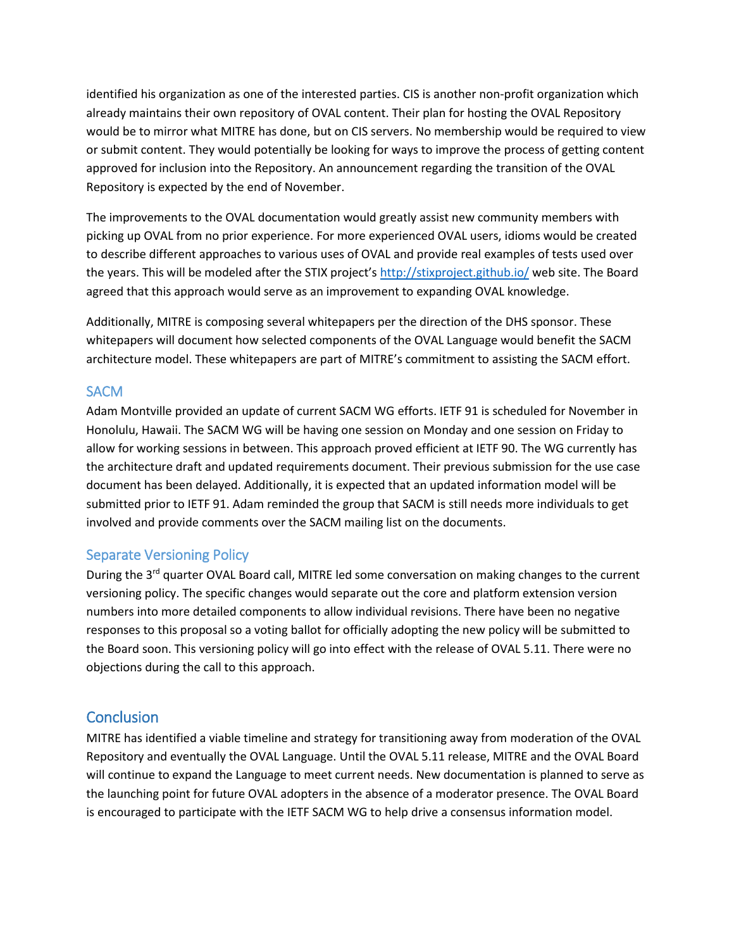identified his organization as one of the interested parties. CIS is another non-profit organization which already maintains their own repository of OVAL content. Their plan for hosting the OVAL Repository would be to mirror what MITRE has done, but on CIS servers. No membership would be required to view or submit content. They would potentially be looking for ways to improve the process of getting content approved for inclusion into the Repository. An announcement regarding the transition of the OVAL Repository is expected by the end of November.

The improvements to the OVAL documentation would greatly assist new community members with picking up OVAL from no prior experience. For more experienced OVAL users, idioms would be created to describe different approaches to various uses of OVAL and provide real examples of tests used over the years. This will be modeled after the STIX project's <http://stixproject.github.io/> web site. The Board agreed that this approach would serve as an improvement to expanding OVAL knowledge.

Additionally, MITRE is composing several whitepapers per the direction of the DHS sponsor. These whitepapers will document how selected components of the OVAL Language would benefit the SACM architecture model. These whitepapers are part of MITRE's commitment to assisting the SACM effort.

### **SACM**

Adam Montville provided an update of current SACM WG efforts. IETF 91 is scheduled for November in Honolulu, Hawaii. The SACM WG will be having one session on Monday and one session on Friday to allow for working sessions in between. This approach proved efficient at IETF 90. The WG currently has the architecture draft and updated requirements document. Their previous submission for the use case document has been delayed. Additionally, it is expected that an updated information model will be submitted prior to IETF 91. Adam reminded the group that SACM is still needs more individuals to get involved and provide comments over the SACM mailing list on the documents.

#### Separate Versioning Policy

During the  $3^{rd}$  quarter OVAL Board call, MITRE led some conversation on making changes to the current versioning policy. The specific changes would separate out the core and platform extension version numbers into more detailed components to allow individual revisions. There have been no negative responses to this proposal so a voting ballot for officially adopting the new policy will be submitted to the Board soon. This versioning policy will go into effect with the release of OVAL 5.11. There were no objections during the call to this approach.

# **Conclusion**

MITRE has identified a viable timeline and strategy for transitioning away from moderation of the OVAL Repository and eventually the OVAL Language. Until the OVAL 5.11 release, MITRE and the OVAL Board will continue to expand the Language to meet current needs. New documentation is planned to serve as the launching point for future OVAL adopters in the absence of a moderator presence. The OVAL Board is encouraged to participate with the IETF SACM WG to help drive a consensus information model.